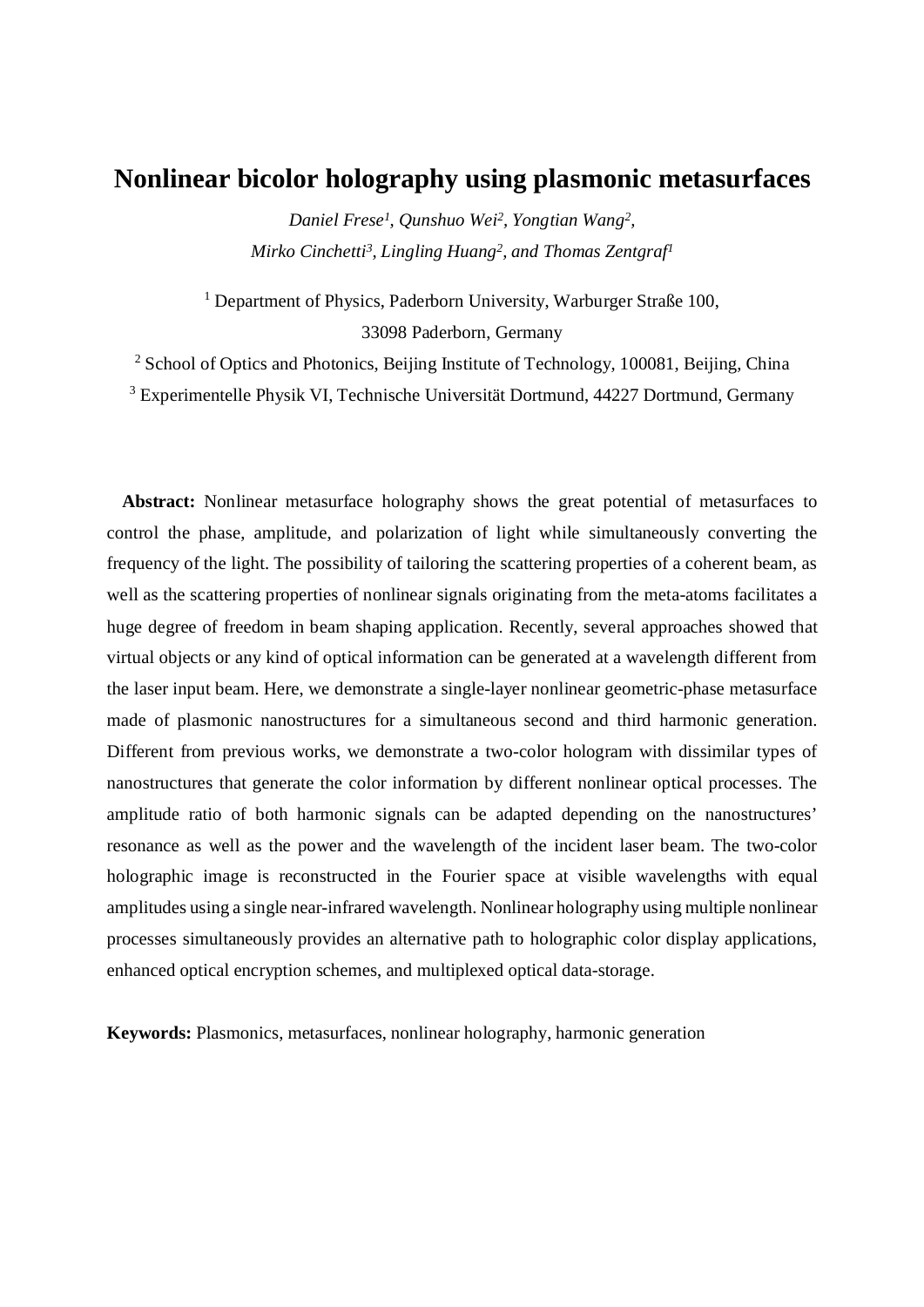# **Nonlinear bicolor holography using plasmonic metasurfaces**

*Daniel Frese<sup>1</sup> , Qunshuo Wei<sup>2</sup> , Yongtian Wang<sup>2</sup> , Mirko Cinchetti<sup>3</sup> , Lingling Huang<sup>2</sup> , and Thomas Zentgraf<sup>1</sup>*

<sup>1</sup> Department of Physics, Paderborn University, Warburger Straße 100, 33098 Paderborn, Germany

<sup>2</sup> School of Optics and Photonics, Beijing Institute of Technology, 100081, Beijing, China

<sup>3</sup> Experimentelle Physik VI, Technische Universität Dortmund, 44227 Dortmund, Germany

**Abstract:** Nonlinear metasurface holography shows the great potential of metasurfaces to control the phase, amplitude, and polarization of light while simultaneously converting the frequency of the light. The possibility of tailoring the scattering properties of a coherent beam, as well as the scattering properties of nonlinear signals originating from the meta-atoms facilitates a huge degree of freedom in beam shaping application. Recently, several approaches showed that virtual objects or any kind of optical information can be generated at a wavelength different from the laser input beam. Here, we demonstrate a single-layer nonlinear geometric-phase metasurface made of plasmonic nanostructures for a simultaneous second and third harmonic generation. Different from previous works, we demonstrate a two-color hologram with dissimilar types of nanostructures that generate the color information by different nonlinear optical processes. The amplitude ratio of both harmonic signals can be adapted depending on the nanostructures' resonance as well as the power and the wavelength of the incident laser beam. The two-color holographic image is reconstructed in the Fourier space at visible wavelengths with equal amplitudes using a single near-infrared wavelength. Nonlinear holography using multiple nonlinear processes simultaneously provides an alternative path to holographic color display applications, enhanced optical encryption schemes, and multiplexed optical data-storage.

**Keywords:** Plasmonics, metasurfaces, nonlinear holography, harmonic generation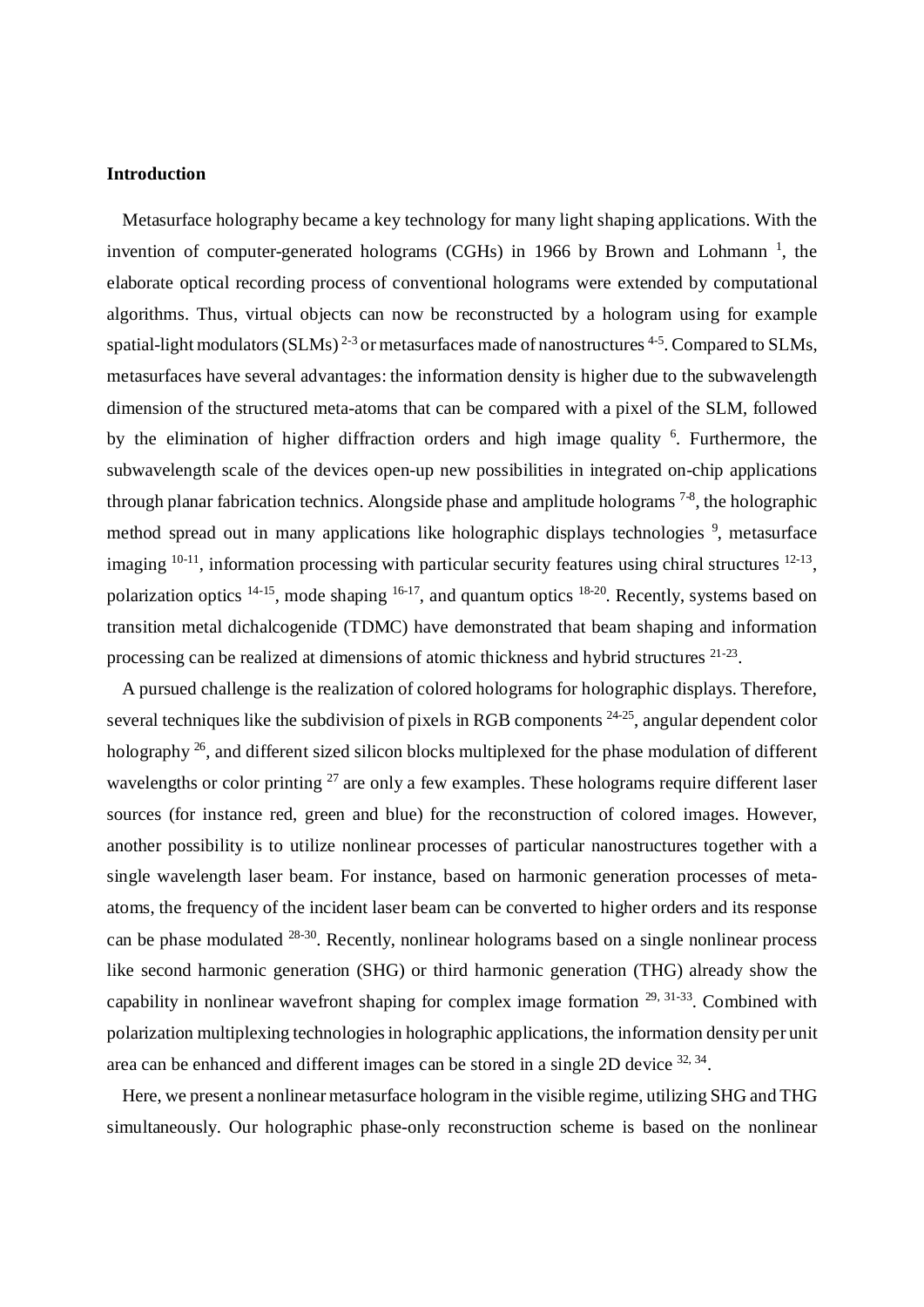#### **Introduction**

Metasurface holography became a key technology for many light shaping applications. With the invention of computer-generated holograms (CGHs) in 1966 by Brown and Lohmann<sup>1</sup>, the elaborate optical recording process of conventional holograms were extended by computational algorithms. Thus, virtual objects can now be reconstructed by a hologram using for example spatial-light modulators (SLMs)<sup>2-3</sup> or metasurfaces made of nanostructures <sup>4-5</sup>. Compared to SLMs, metasurfaces have several advantages: the information density is higher due to the subwavelength dimension of the structured meta-atoms that can be compared with a pixel of the SLM, followed by the elimination of higher diffraction orders and high image quality <sup>6</sup>. Furthermore, the subwavelength scale of the devices open-up new possibilities in integrated on-chip applications through planar fabrication technics. Alongside phase and amplitude holograms  $7-8$ , the holographic method spread out in many applications like holographic displays technologies <sup>9</sup>, metasurface imaging  $10-11$ , information processing with particular security features using chiral structures  $12-13$ , polarization optics <sup>14-15</sup>, mode shaping <sup>16-17</sup>, and quantum optics <sup>18-20</sup>. Recently, systems based on transition metal dichalcogenide (TDMC) have demonstrated that beam shaping and information processing can be realized at dimensions of atomic thickness and hybrid structures <sup>21-23</sup>.

A pursued challenge is the realization of colored holograms for holographic displays. Therefore, several techniques like the subdivision of pixels in RGB components  $24-25$ , angular dependent color holography <sup>26</sup>, and different sized silicon blocks multiplexed for the phase modulation of different wavelengths or color printing  $^{27}$  are only a few examples. These holograms require different laser sources (for instance red, green and blue) for the reconstruction of colored images. However, another possibility is to utilize nonlinear processes of particular nanostructures together with a single wavelength laser beam. For instance, based on harmonic generation processes of metaatoms, the frequency of the incident laser beam can be converted to higher orders and its response can be phase modulated  $28-30$ . Recently, nonlinear holograms based on a single nonlinear process like second harmonic generation (SHG) or third harmonic generation (THG) already show the capability in nonlinear wavefront shaping for complex image formation  $29, 31-33$ . Combined with polarization multiplexing technologies in holographic applications, the information density per unit area can be enhanced and different images can be stored in a single 2D device  $32, 34$ .

Here, we present a nonlinear metasurface hologram in the visible regime, utilizing SHG and THG simultaneously. Our holographic phase-only reconstruction scheme is based on the nonlinear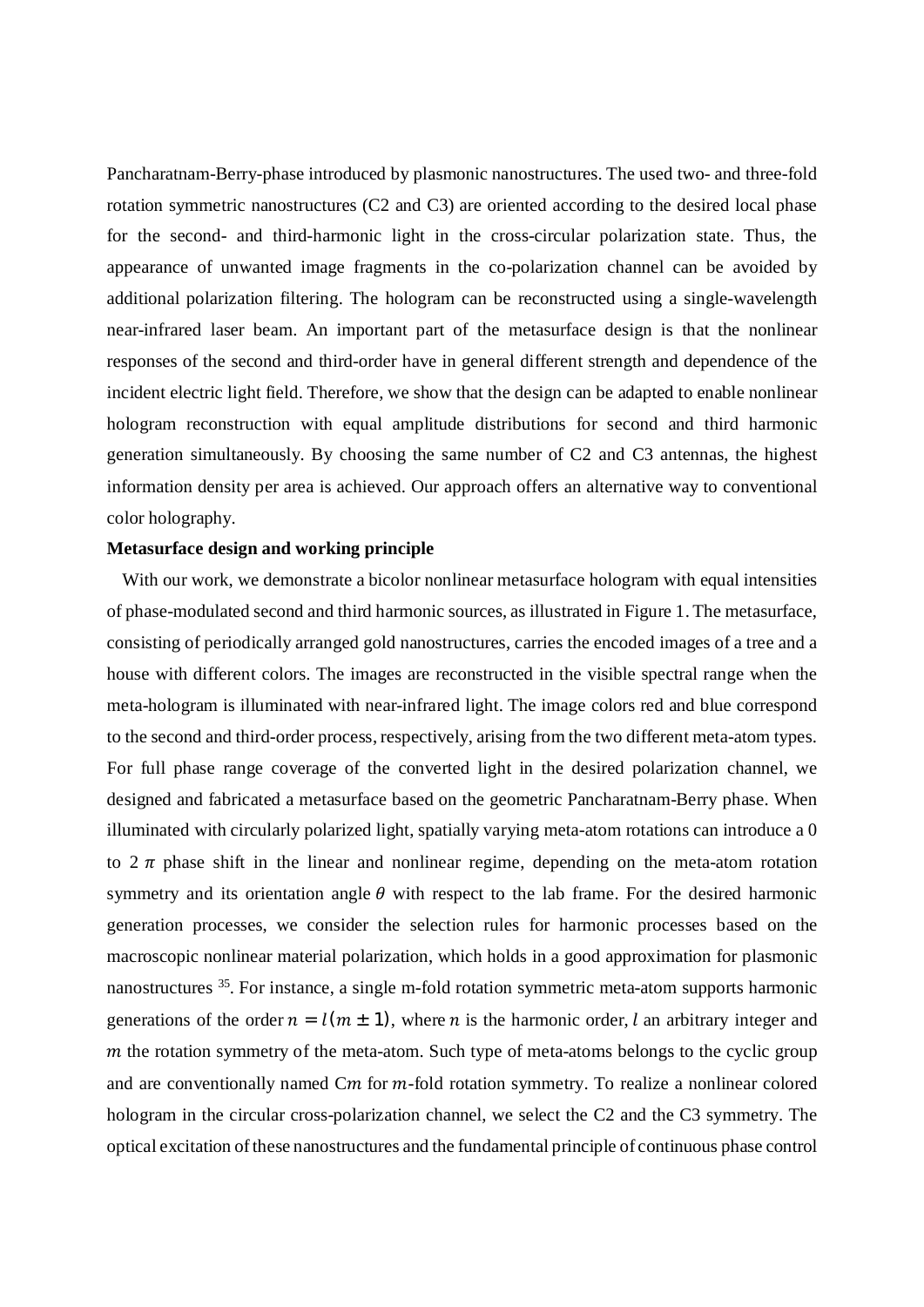Pancharatnam-Berry-phase introduced by plasmonic nanostructures. The used two- and three-fold rotation symmetric nanostructures (C2 and C3) are oriented according to the desired local phase for the second- and third-harmonic light in the cross-circular polarization state. Thus, the appearance of unwanted image fragments in the co-polarization channel can be avoided by additional polarization filtering. The hologram can be reconstructed using a single-wavelength near-infrared laser beam. An important part of the metasurface design is that the nonlinear responses of the second and third-order have in general different strength and dependence of the incident electric light field. Therefore, we show that the design can be adapted to enable nonlinear hologram reconstruction with equal amplitude distributions for second and third harmonic generation simultaneously. By choosing the same number of C2 and C3 antennas, the highest information density per area is achieved. Our approach offers an alternative way to conventional color holography.

### **Metasurface design and working principle**

With our work, we demonstrate a bicolor nonlinear metasurface hologram with equal intensities of phase-modulated second and third harmonic sources, as illustrated in Figure 1. The metasurface, consisting of periodically arranged gold nanostructures, carries the encoded images of a tree and a house with different colors. The images are reconstructed in the visible spectral range when the meta-hologram is illuminated with near-infrared light. The image colors red and blue correspond to the second and third-order process, respectively, arising from the two different meta-atom types. For full phase range coverage of the converted light in the desired polarization channel, we designed and fabricated a metasurface based on the geometric Pancharatnam-Berry phase. When illuminated with circularly polarized light, spatially varying meta-atom rotations can introduce a 0 to  $2 \pi$  phase shift in the linear and nonlinear regime, depending on the meta-atom rotation symmetry and its orientation angle  $\theta$  with respect to the lab frame. For the desired harmonic generation processes, we consider the selection rules for harmonic processes based on the macroscopic nonlinear material polarization, which holds in a good approximation for plasmonic nanostructures <sup>35</sup>. For instance, a single m-fold rotation symmetric meta-atom supports harmonic generations of the order  $n = l(m \pm 1)$ , where *n* is the harmonic order, *l* an arbitrary integer and  $m$  the rotation symmetry of the meta-atom. Such type of meta-atoms belongs to the cyclic group and are conventionally named  $Cm$  for  $m$ -fold rotation symmetry. To realize a nonlinear colored hologram in the circular cross-polarization channel, we select the C2 and the C3 symmetry. The optical excitation of these nanostructures and the fundamental principle of continuous phase control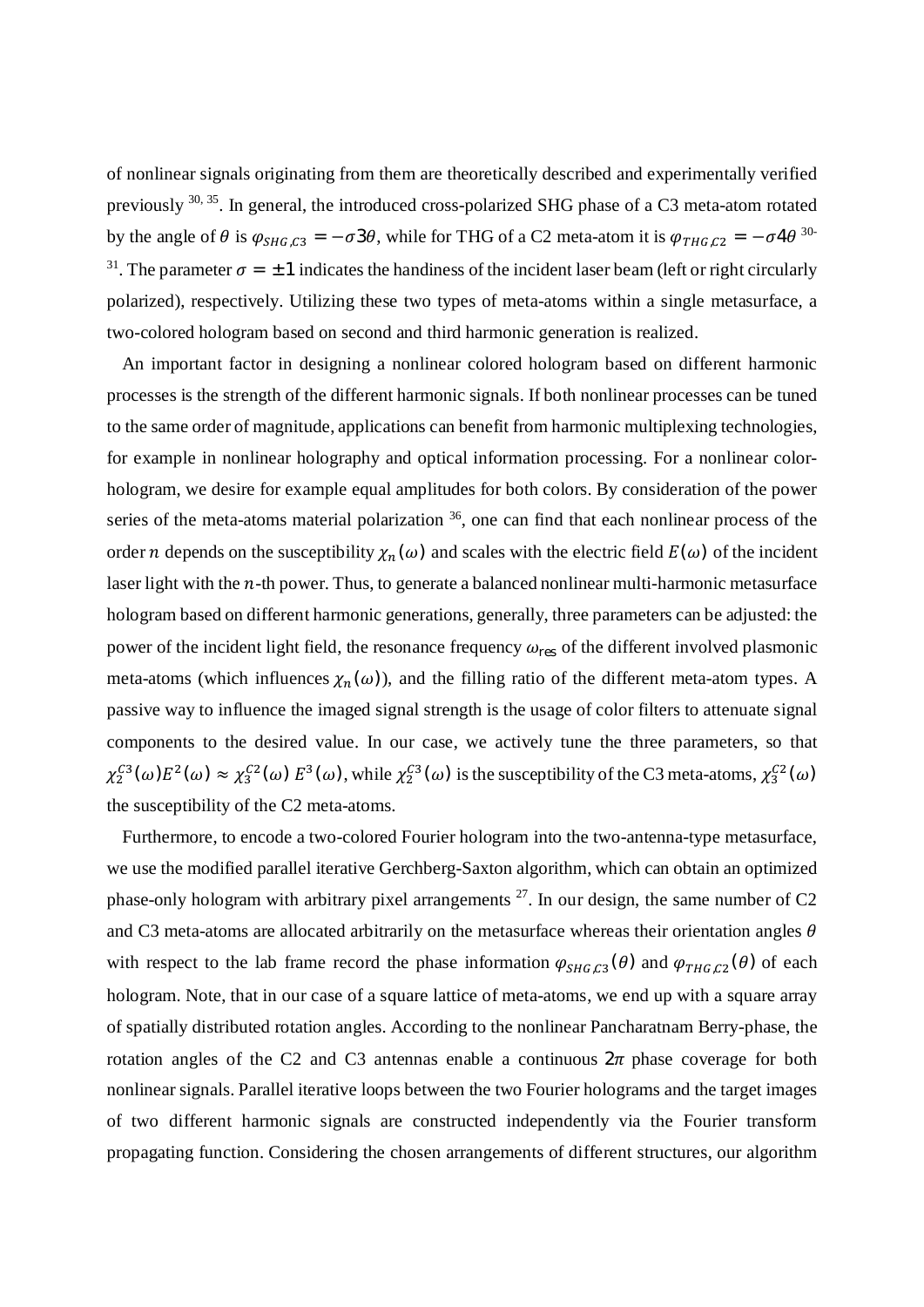of nonlinear signals originating from them are theoretically described and experimentally verified previously 30, 35. In general, the introduced cross-polarized SHG phase of a C3 meta-atom rotated by the angle of  $\theta$  is  $\varphi_{SHG,C3} = -\sigma 3\theta$ , while for THG of a C2 meta-atom it is  $\varphi_{THG,C2} = -\sigma 4\theta^{30}$ <sup>31</sup>. The parameter  $\sigma = \pm 1$  indicates the handiness of the incident laser beam (left or right circularly polarized), respectively. Utilizing these two types of meta-atoms within a single metasurface, a two-colored hologram based on second and third harmonic generation is realized.

An important factor in designing a nonlinear colored hologram based on different harmonic processes is the strength of the different harmonic signals. If both nonlinear processes can be tuned to the same order of magnitude, applications can benefit from harmonic multiplexing technologies, for example in nonlinear holography and optical information processing. For a nonlinear colorhologram, we desire for example equal amplitudes for both colors. By consideration of the power series of the meta-atoms material polarization <sup>36</sup>, one can find that each nonlinear process of the order *n* depends on the susceptibility  $\chi_n(\omega)$  and scales with the electric field  $E(\omega)$  of the incident laser light with the  $n$ -th power. Thus, to generate a balanced nonlinear multi-harmonic metasurface hologram based on different harmonic generations, generally, three parameters can be adjusted: the power of the incident light field, the resonance frequency  $\omega_{\text{res}}$  of the different involved plasmonic meta-atoms (which influences  $\chi_n(\omega)$ ), and the filling ratio of the different meta-atom types. A passive way to influence the imaged signal strength is the usage of color filters to attenuate signal components to the desired value. In our case, we actively tune the three parameters, so that  $\chi_2^{C3}(\omega)E^2(\omega) \approx \chi_3^{C2}(\omega) E^3(\omega)$ , while  $\chi_2^{C3}(\omega)$  is the susceptibility of the C3 meta-atoms,  $\chi_3^{C2}(\omega)$ the susceptibility of the C2 meta-atoms.

Furthermore, to encode a two-colored Fourier hologram into the two-antenna-type metasurface, we use the modified parallel iterative Gerchberg-Saxton algorithm, which can obtain an optimized phase-only hologram with arbitrary pixel arrangements  $^{27}$ . In our design, the same number of C2 and C3 meta-atoms are allocated arbitrarily on the metasurface whereas their orientation angles  $\theta$ with respect to the lab frame record the phase information  $\varphi_{SHG,C3}(\theta)$  and  $\varphi_{THG,C2}(\theta)$  of each hologram. Note, that in our case of a square lattice of meta-atoms, we end up with a square array of spatially distributed rotation angles. According to the nonlinear Pancharatnam Berry-phase, the rotation angles of the C2 and C3 antennas enable a continuous  $2\pi$  phase coverage for both nonlinear signals. Parallel iterative loops between the two Fourier holograms and the target images of two different harmonic signals are constructed independently via the Fourier transform propagating function. Considering the chosen arrangements of different structures, our algorithm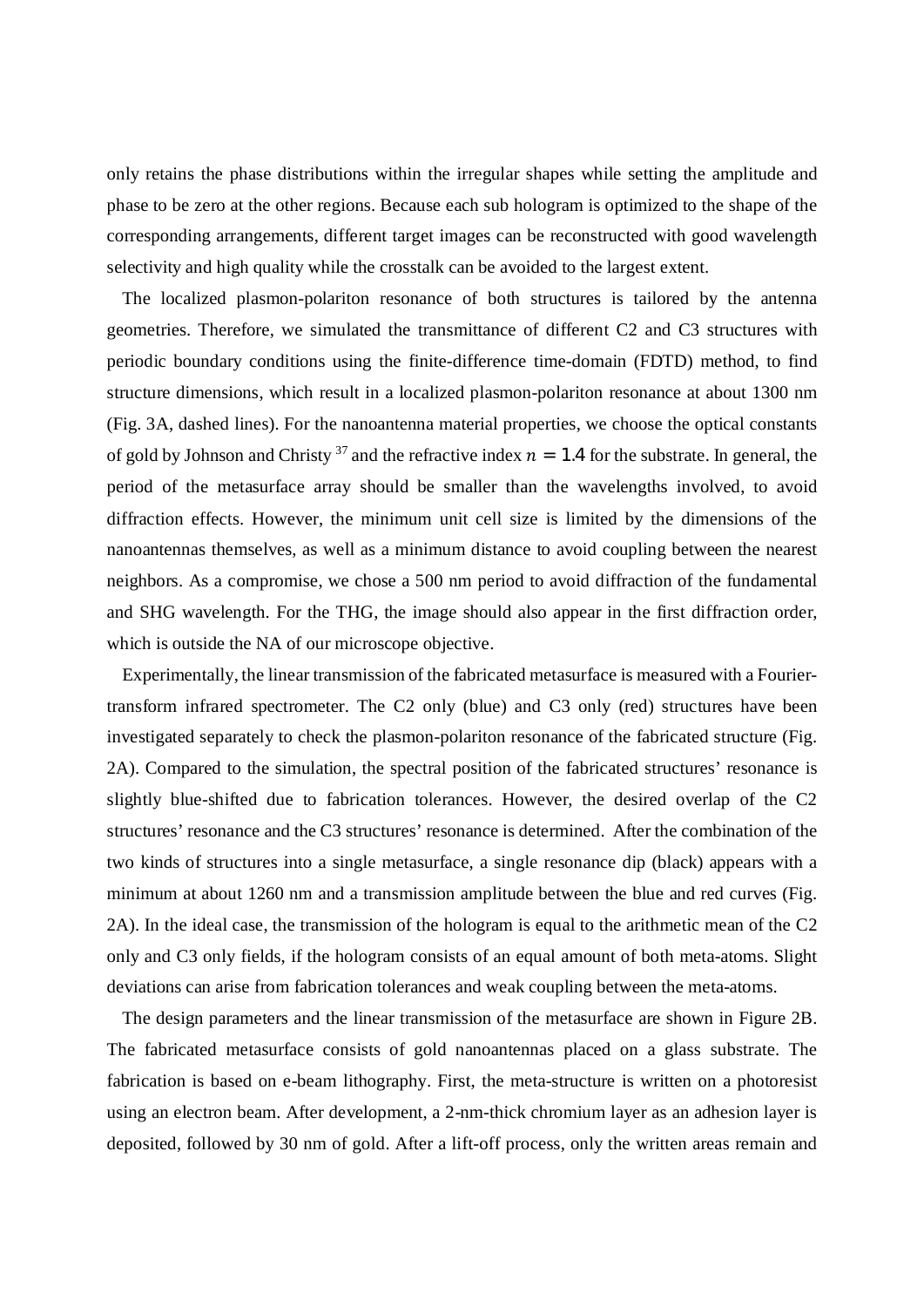only retains the phase distributions within the irregular shapes while setting the amplitude and phase to be zero at the other regions. Because each sub hologram is optimized to the shape of the corresponding arrangements, different target images can be reconstructed with good wavelength selectivity and high quality while the crosstalk can be avoided to the largest extent.

The localized plasmon-polariton resonance of both structures is tailored by the antenna geometries. Therefore, we simulated the transmittance of different C2 and C3 structures with periodic boundary conditions using the finite-difference time-domain (FDTD) method, to find structure dimensions, which result in a localized plasmon-polariton resonance at about 1300 nm (Fig. 3A, dashed lines). For the nanoantenna material properties, we choose the optical constants of gold by Johnson and Christy<sup>37</sup> and the refractive index  $n = 1.4$  for the substrate. In general, the period of the metasurface array should be smaller than the wavelengths involved, to avoid diffraction effects. However, the minimum unit cell size is limited by the dimensions of the nanoantennas themselves, as well as a minimum distance to avoid coupling between the nearest neighbors. As a compromise, we chose a 500 nm period to avoid diffraction of the fundamental and SHG wavelength. For the THG, the image should also appear in the first diffraction order, which is outside the NA of our microscope objective.

Experimentally, the linear transmission of the fabricated metasurface is measured with a Fouriertransform infrared spectrometer. The C2 only (blue) and C3 only (red) structures have been investigated separately to check the plasmon-polariton resonance of the fabricated structure (Fig. 2A). Compared to the simulation, the spectral position of the fabricated structures' resonance is slightly blue-shifted due to fabrication tolerances. However, the desired overlap of the C2 structures' resonance and the C3 structures' resonance is determined. After the combination of the two kinds of structures into a single metasurface, a single resonance dip (black) appears with a minimum at about 1260 nm and a transmission amplitude between the blue and red curves (Fig. 2A). In the ideal case, the transmission of the hologram is equal to the arithmetic mean of the C2 only and C3 only fields, if the hologram consists of an equal amount of both meta-atoms. Slight deviations can arise from fabrication tolerances and weak coupling between the meta-atoms.

The design parameters and the linear transmission of the metasurface are shown in Figure 2B. The fabricated metasurface consists of gold nanoantennas placed on a glass substrate. The fabrication is based on e-beam lithography. First, the meta-structure is written on a photoresist using an electron beam. After development, a 2-nm-thick chromium layer as an adhesion layer is deposited, followed by 30 nm of gold. After a lift-off process, only the written areas remain and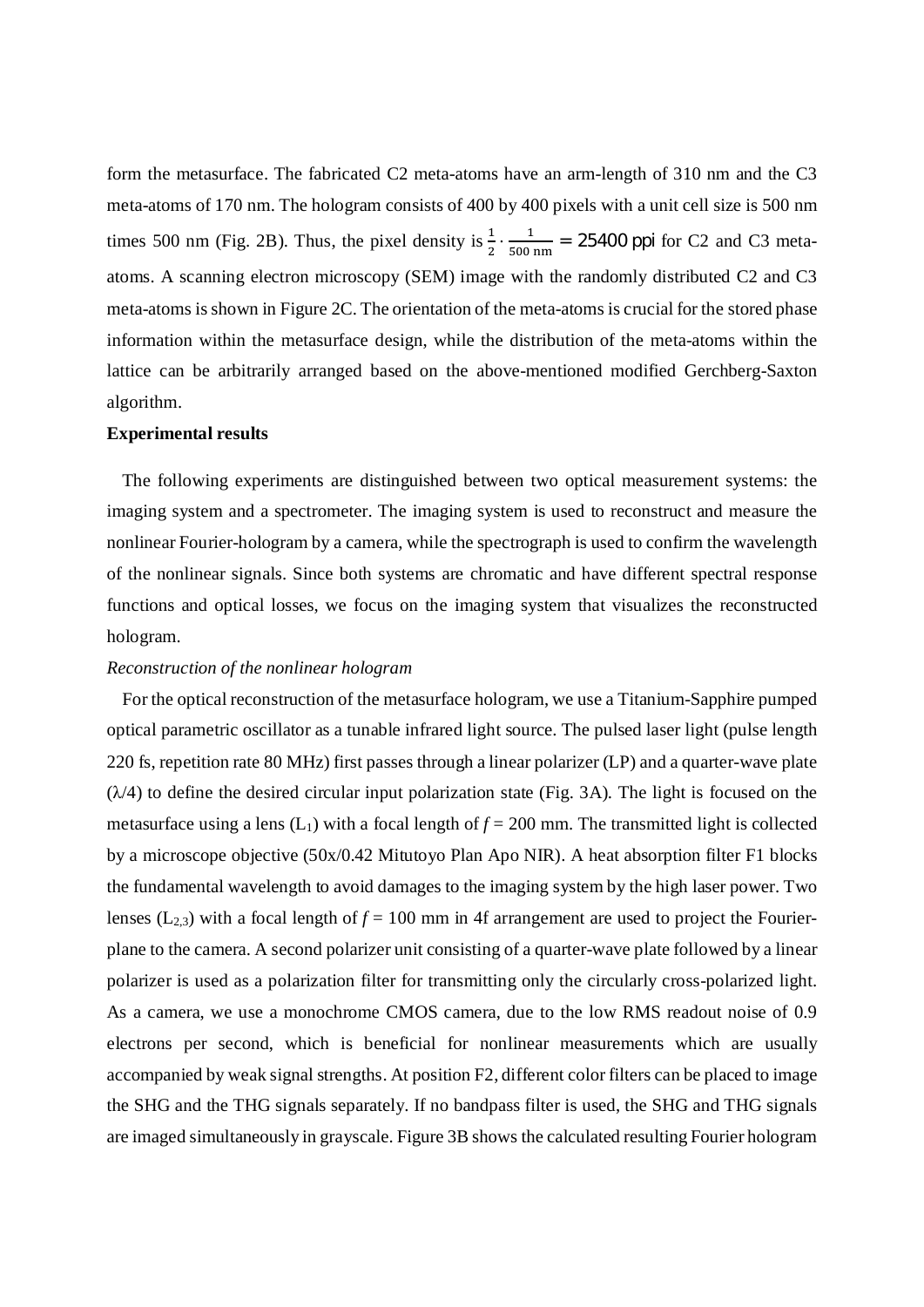form the metasurface. The fabricated C2 meta-atoms have an arm-length of 310 nm and the C3 meta-atoms of 170 nm. The hologram consists of 400 by 400 pixels with a unit cell size is 500 nm times 500 nm (Fig. 2B). Thus, the pixel density is  $\frac{1}{2} \cdot \frac{1}{500}$  $\frac{1}{500 \text{ nm}}$  = 25400 ppi for C2 and C3 metaatoms. A scanning electron microscopy (SEM) image with the randomly distributed C2 and C3 meta-atoms is shown in Figure 2C. The orientation of the meta-atoms is crucial for the stored phase information within the metasurface design, while the distribution of the meta-atoms within the lattice can be arbitrarily arranged based on the above-mentioned modified Gerchberg-Saxton algorithm.

## **Experimental results**

The following experiments are distinguished between two optical measurement systems: the imaging system and a spectrometer. The imaging system is used to reconstruct and measure the nonlinear Fourier-hologram by a camera, while the spectrograph is used to confirm the wavelength of the nonlinear signals. Since both systems are chromatic and have different spectral response functions and optical losses, we focus on the imaging system that visualizes the reconstructed hologram.

### *Reconstruction of the nonlinear hologram*

For the optical reconstruction of the metasurface hologram, we use a Titanium-Sapphire pumped optical parametric oscillator as a tunable infrared light source. The pulsed laser light (pulse length 220 fs, repetition rate 80 MHz) first passes through a linear polarizer (LP) and a quarter-wave plate  $(\lambda/4)$  to define the desired circular input polarization state (Fig. 3A). The light is focused on the metasurface using a lens  $(L_1)$  with a focal length of  $f = 200$  mm. The transmitted light is collected by a microscope objective (50x/0.42 Mitutoyo Plan Apo NIR). A heat absorption filter F1 blocks the fundamental wavelength to avoid damages to the imaging system by the high laser power. Two lenses ( $L_{2,3}$ ) with a focal length of  $f = 100$  mm in 4f arrangement are used to project the Fourierplane to the camera. A second polarizer unit consisting of a quarter-wave plate followed by a linear polarizer is used as a polarization filter for transmitting only the circularly cross-polarized light. As a camera, we use a monochrome CMOS camera, due to the low RMS readout noise of 0.9 electrons per second, which is beneficial for nonlinear measurements which are usually accompanied by weak signal strengths. At position F2, different color filters can be placed to image the SHG and the THG signals separately. If no bandpass filter is used, the SHG and THG signals are imaged simultaneously in grayscale. Figure 3B shows the calculated resulting Fourier hologram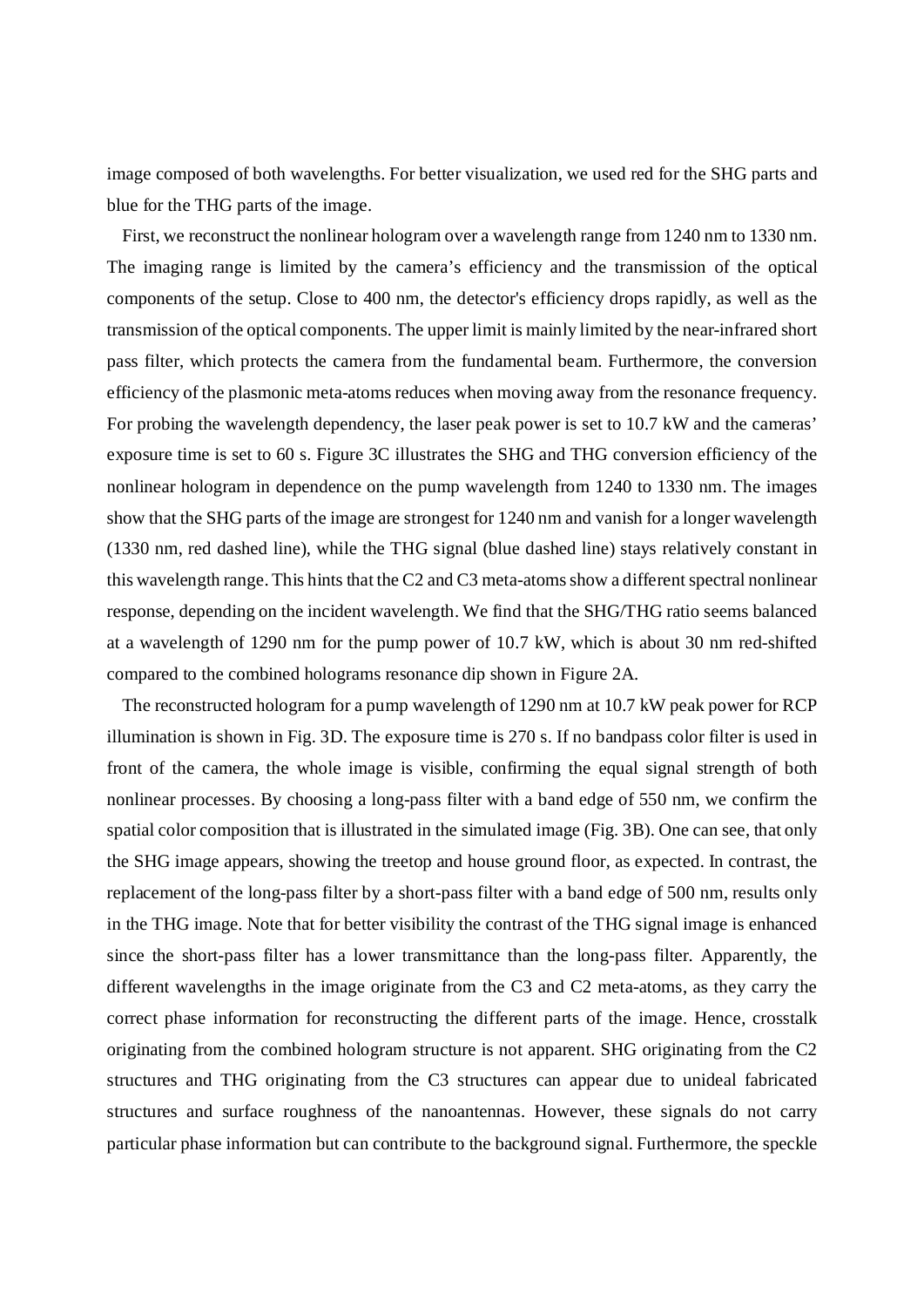image composed of both wavelengths. For better visualization, we used red for the SHG parts and blue for the THG parts of the image.

First, we reconstruct the nonlinear hologram over a wavelength range from 1240 nm to 1330 nm. The imaging range is limited by the camera's efficiency and the transmission of the optical components of the setup. Close to 400 nm, the detector's efficiency drops rapidly, as well as the transmission of the optical components. The upper limit is mainly limited by the near-infrared short pass filter, which protects the camera from the fundamental beam. Furthermore, the conversion efficiency of the plasmonic meta-atoms reduces when moving away from the resonance frequency. For probing the wavelength dependency, the laser peak power is set to 10.7 kW and the cameras' exposure time is set to 60 s. Figure 3C illustrates the SHG and THG conversion efficiency of the nonlinear hologram in dependence on the pump wavelength from 1240 to 1330 nm. The images show that the SHG parts of the image are strongest for 1240 nm and vanish for a longer wavelength (1330 nm, red dashed line), while the THG signal (blue dashed line) stays relatively constant in this wavelength range. This hints that the C2 and C3 meta-atoms show a different spectral nonlinear response, depending on the incident wavelength. We find that the SHG/THG ratio seems balanced at a wavelength of 1290 nm for the pump power of 10.7 kW, which is about 30 nm red-shifted compared to the combined holograms resonance dip shown in Figure 2A.

The reconstructed hologram for a pump wavelength of 1290 nm at 10.7 kW peak power for RCP illumination is shown in Fig. 3D. The exposure time is 270 s. If no bandpass color filter is used in front of the camera, the whole image is visible, confirming the equal signal strength of both nonlinear processes. By choosing a long-pass filter with a band edge of 550 nm, we confirm the spatial color composition that is illustrated in the simulated image (Fig. 3B). One can see, that only the SHG image appears, showing the treetop and house ground floor, as expected. In contrast, the replacement of the long-pass filter by a short-pass filter with a band edge of 500 nm, results only in the THG image. Note that for better visibility the contrast of the THG signal image is enhanced since the short-pass filter has a lower transmittance than the long-pass filter. Apparently, the different wavelengths in the image originate from the C3 and C2 meta-atoms, as they carry the correct phase information for reconstructing the different parts of the image. Hence, crosstalk originating from the combined hologram structure is not apparent. SHG originating from the C2 structures and THG originating from the C3 structures can appear due to unideal fabricated structures and surface roughness of the nanoantennas. However, these signals do not carry particular phase information but can contribute to the background signal. Furthermore, the speckle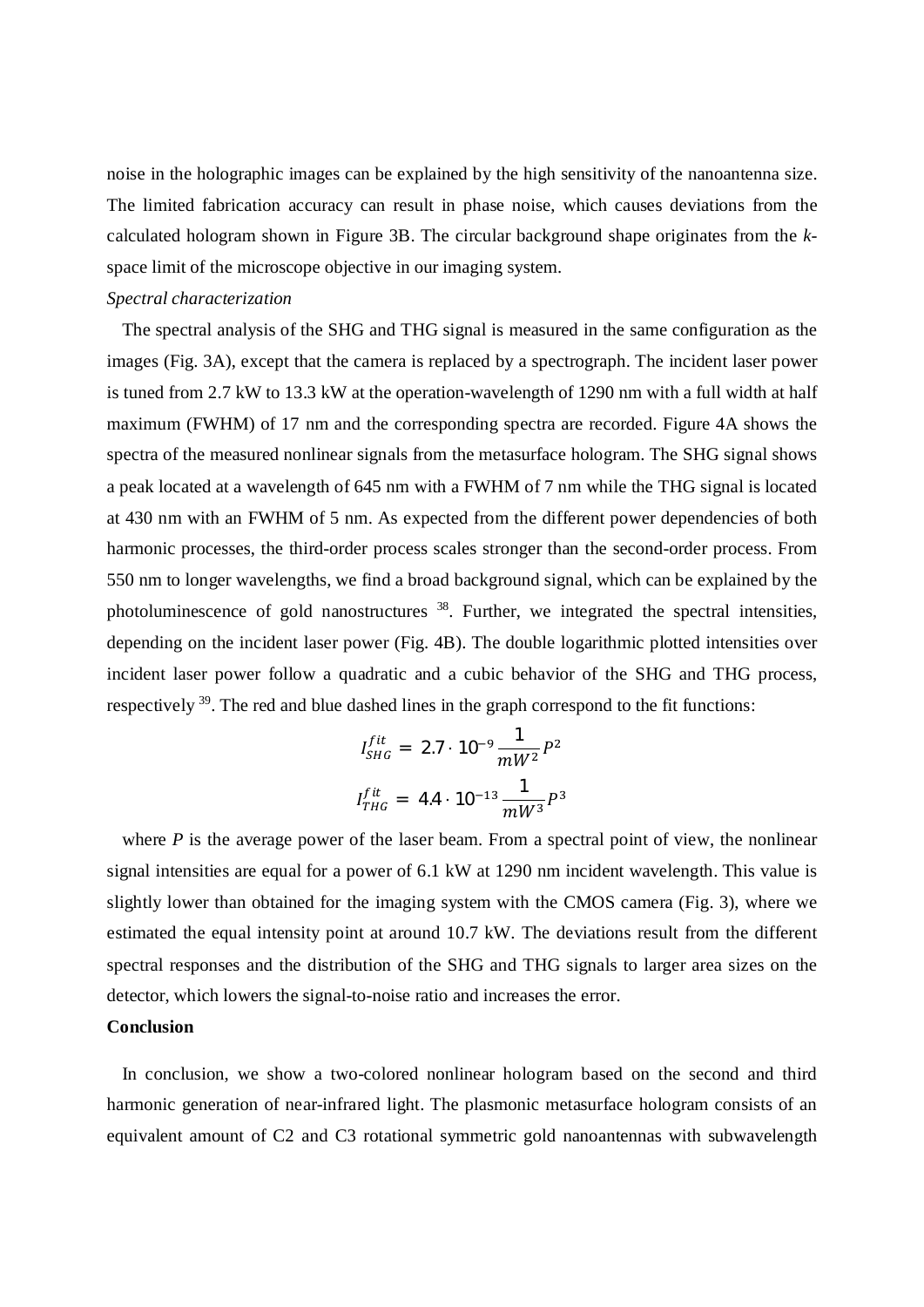noise in the holographic images can be explained by the high sensitivity of the nanoantenna size. The limited fabrication accuracy can result in phase noise, which causes deviations from the calculated hologram shown in Figure 3B. The circular background shape originates from the *k*space limit of the microscope objective in our imaging system.

## *Spectral characterization*

The spectral analysis of the SHG and THG signal is measured in the same configuration as the images (Fig. 3A), except that the camera is replaced by a spectrograph. The incident laser power is tuned from 2.7 kW to 13.3 kW at the operation-wavelength of 1290 nm with a full width at half maximum (FWHM) of 17 nm and the corresponding spectra are recorded. Figure 4A shows the spectra of the measured nonlinear signals from the metasurface hologram. The SHG signal shows a peak located at a wavelength of 645 nm with a FWHM of 7 nm while the THG signal is located at 430 nm with an FWHM of 5 nm. As expected from the different power dependencies of both harmonic processes, the third-order process scales stronger than the second-order process. From 550 nm to longer wavelengths, we find a broad background signal, which can be explained by the photoluminescence of gold nanostructures  $38$ . Further, we integrated the spectral intensities, depending on the incident laser power (Fig. 4B). The double logarithmic plotted intensities over incident laser power follow a quadratic and a cubic behavior of the SHG and THG process, respectively <sup>39</sup>. The red and blue dashed lines in the graph correspond to the fit functions:

$$
I_{SHG}^{fit} = 2.7 \cdot 10^{-9} \frac{1}{mW^2} P^2
$$

$$
I_{THG}^{fit} = 4.4 \cdot 10^{-13} \frac{1}{mW^3} P^3
$$

where  $P$  is the average power of the laser beam. From a spectral point of view, the nonlinear signal intensities are equal for a power of 6.1 kW at 1290 nm incident wavelength. This value is slightly lower than obtained for the imaging system with the CMOS camera (Fig. 3), where we estimated the equal intensity point at around 10.7 kW. The deviations result from the different spectral responses and the distribution of the SHG and THG signals to larger area sizes on the detector, which lowers the signal-to-noise ratio and increases the error.

## **Conclusion**

In conclusion, we show a two-colored nonlinear hologram based on the second and third harmonic generation of near-infrared light. The plasmonic metasurface hologram consists of an equivalent amount of C2 and C3 rotational symmetric gold nanoantennas with subwavelength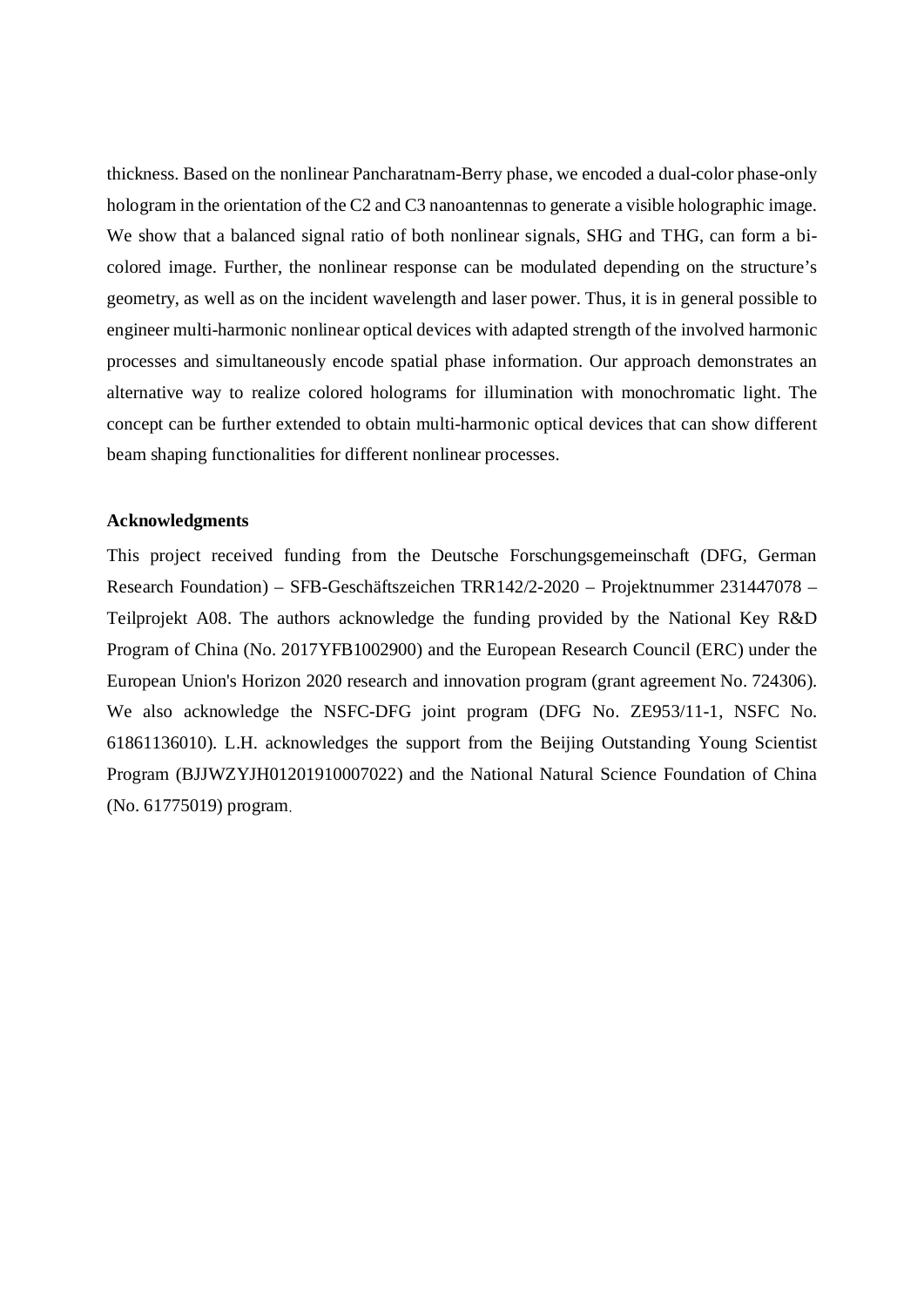thickness. Based on the nonlinear Pancharatnam-Berry phase, we encoded a dual-color phase-only hologram in the orientation of the C2 and C3 nanoantennas to generate a visible holographic image. We show that a balanced signal ratio of both nonlinear signals, SHG and THG, can form a bicolored image. Further, the nonlinear response can be modulated depending on the structure's geometry, as well as on the incident wavelength and laser power. Thus, it is in general possible to engineer multi-harmonic nonlinear optical devices with adapted strength of the involved harmonic processes and simultaneously encode spatial phase information. Our approach demonstrates an alternative way to realize colored holograms for illumination with monochromatic light. The concept can be further extended to obtain multi-harmonic optical devices that can show different beam shaping functionalities for different nonlinear processes.

## **Acknowledgments**

This project received funding from the Deutsche Forschungsgemeinschaft (DFG, German Research Foundation) – SFB-Geschäftszeichen TRR142/2-2020 – Projektnummer 231447078 – Teilprojekt A08. The authors acknowledge the funding provided by the National Key R&D Program of China (No. 2017YFB1002900) and the European Research Council (ERC) under the European Union's Horizon 2020 research and innovation program (grant agreement No. 724306). We also acknowledge the NSFC-DFG joint program (DFG No. ZE953/11-1, NSFC No. 61861136010). L.H. acknowledges the support from the Beijing Outstanding Young Scientist Program (BJJWZYJH01201910007022) and the National Natural Science Foundation of China (No. 61775019) program.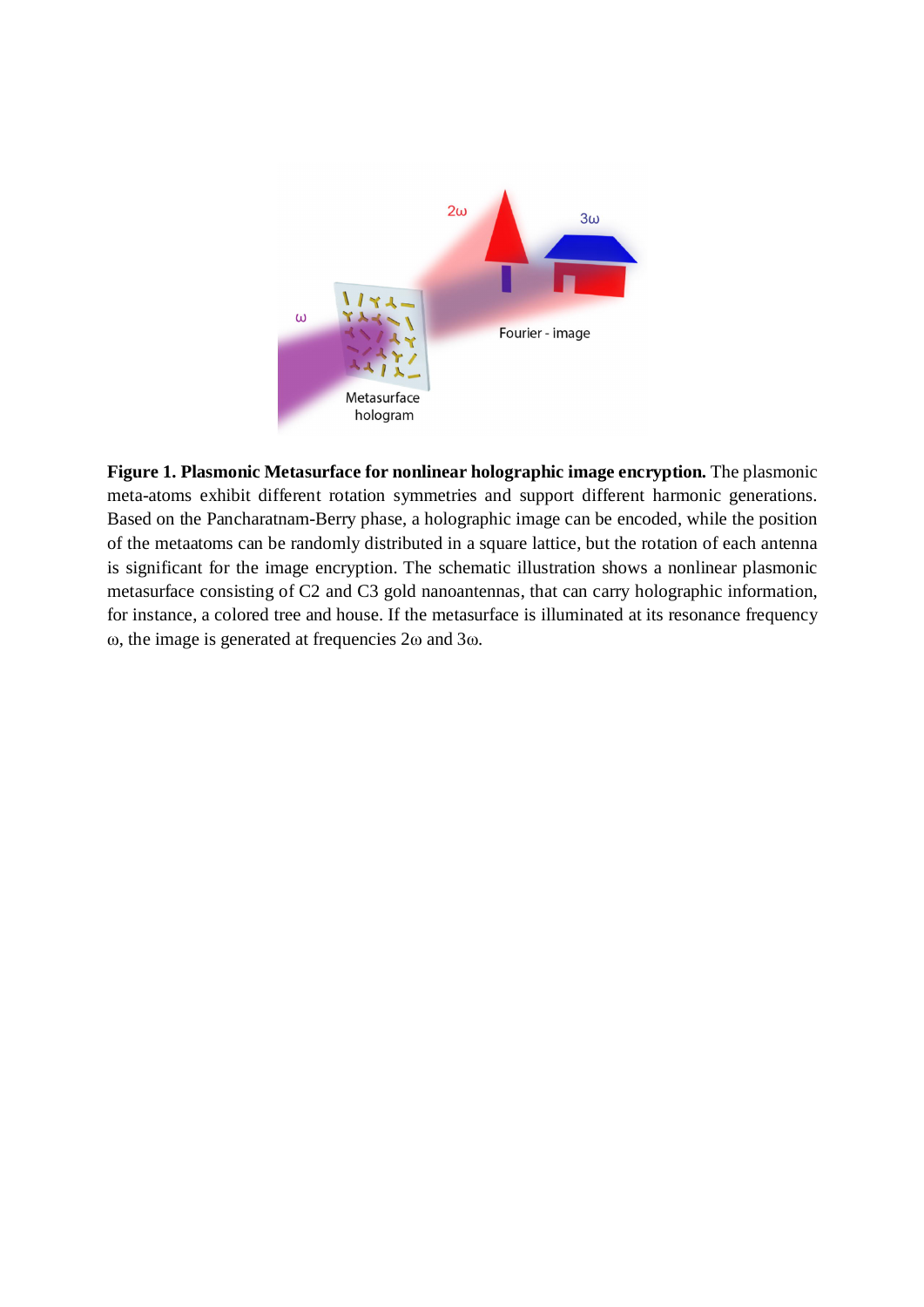

**Figure 1. Plasmonic Metasurface for nonlinear holographic image encryption.** The plasmonic meta-atoms exhibit different rotation symmetries and support different harmonic generations. Based on the Pancharatnam-Berry phase, a holographic image can be encoded, while the position of the metaatoms can be randomly distributed in a square lattice, but the rotation of each antenna is significant for the image encryption. The schematic illustration shows a nonlinear plasmonic metasurface consisting of C2 and C3 gold nanoantennas, that can carry holographic information, for instance, a colored tree and house. If the metasurface is illuminated at its resonance frequency ω, the image is generated at frequencies 2ω and 3ω.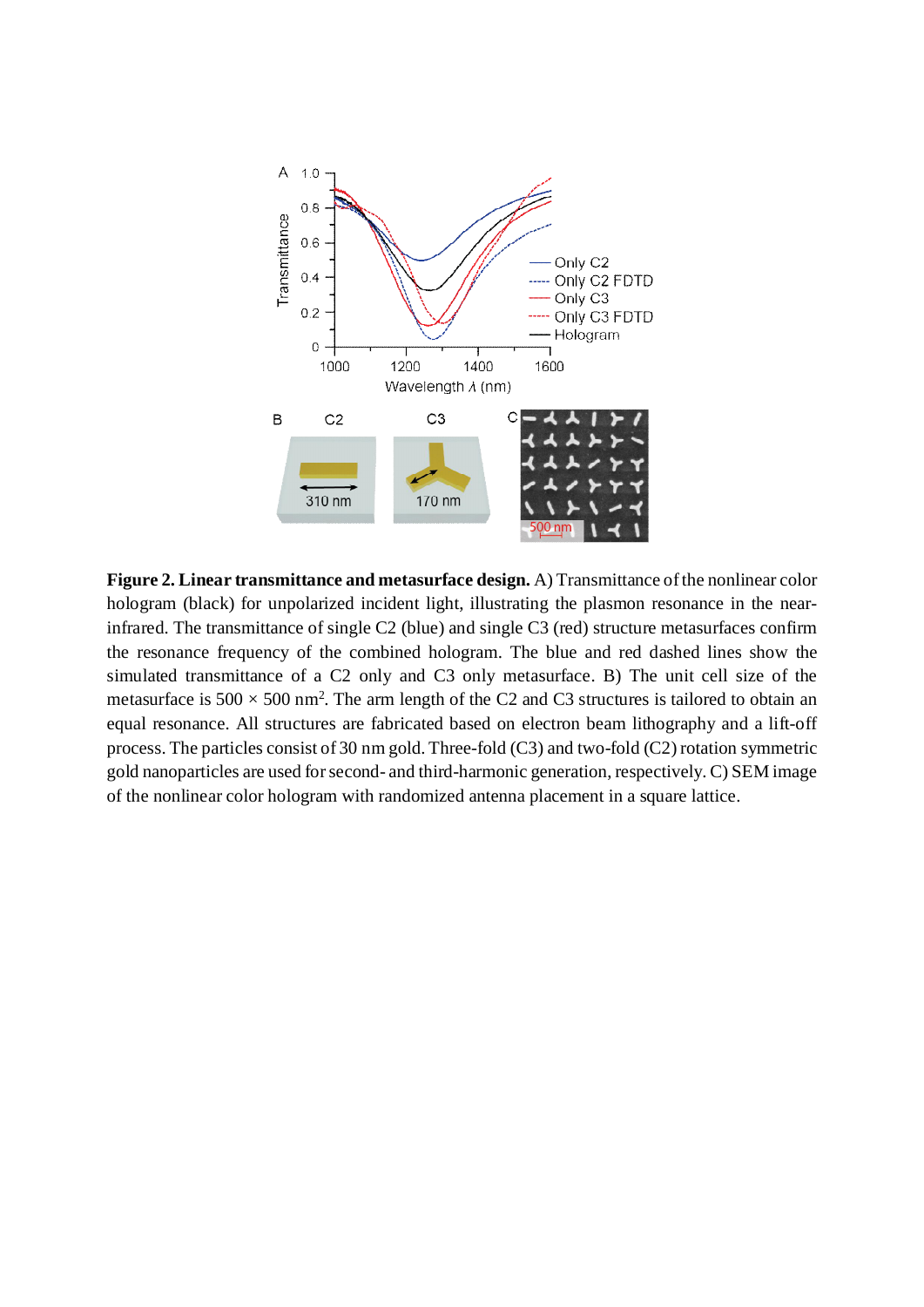

**Figure 2. Linear transmittance and metasurface design.** A) Transmittance of the nonlinear color hologram (black) for unpolarized incident light, illustrating the plasmon resonance in the nearinfrared. The transmittance of single C2 (blue) and single C3 (red) structure metasurfaces confirm the resonance frequency of the combined hologram. The blue and red dashed lines show the simulated transmittance of a C2 only and C3 only metasurface. B) The unit cell size of the metasurface is  $500 \times 500$  nm<sup>2</sup>. The arm length of the C2 and C3 structures is tailored to obtain an equal resonance. All structures are fabricated based on electron beam lithography and a lift-off process. The particles consist of 30 nm gold. Three-fold (C3) and two-fold (C2) rotation symmetric gold nanoparticles are used for second- and third-harmonic generation, respectively. C) SEM image of the nonlinear color hologram with randomized antenna placement in a square lattice.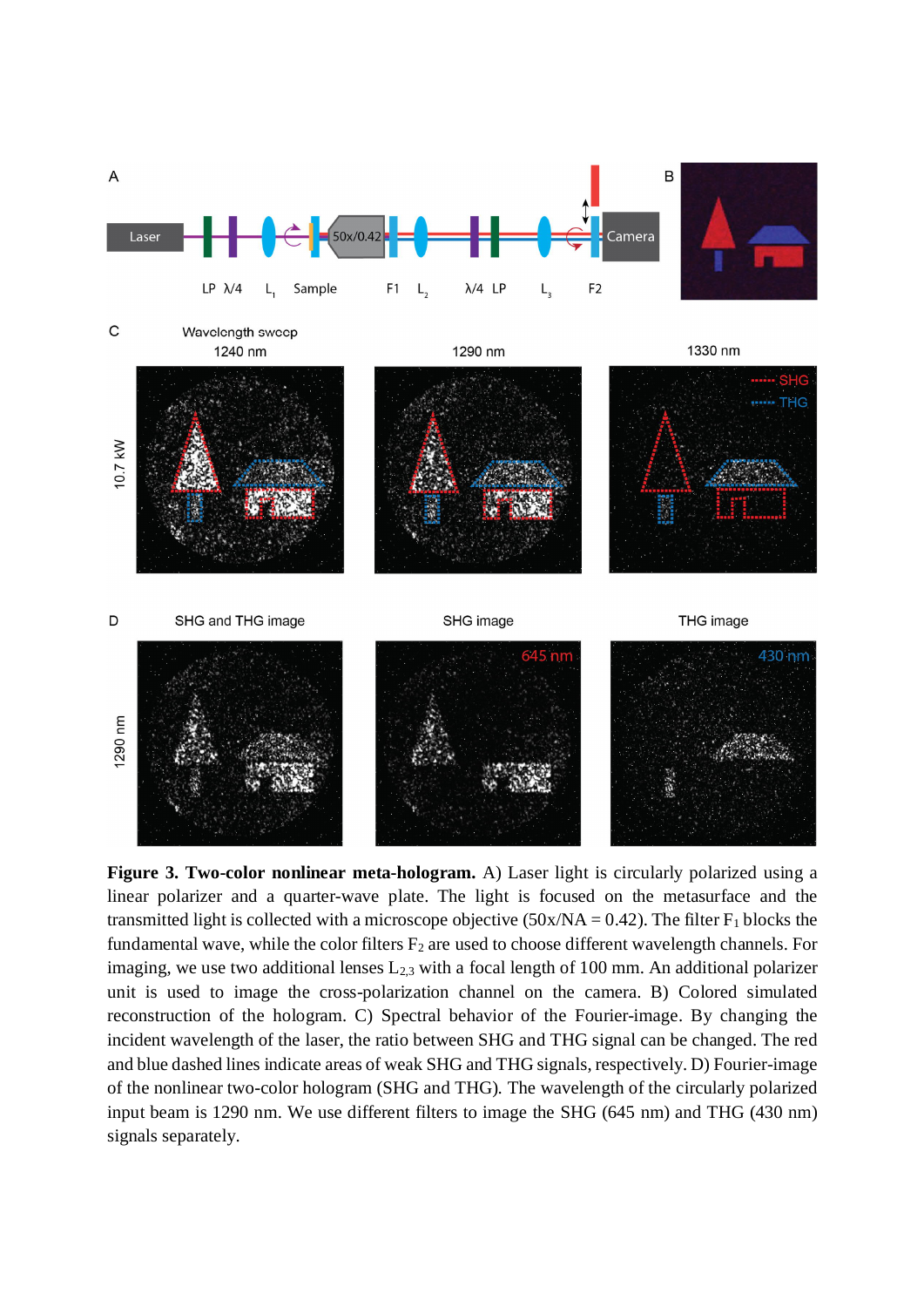

Wavelength sweep 1240 nm

1290 nm

1330 nm



**Figure 3. Two-color nonlinear meta-hologram.** A) Laser light is circularly polarized using a linear polarizer and a quarter-wave plate. The light is focused on the metasurface and the transmitted light is collected with a microscope objective  $(50x/NA = 0.42)$ . The filter F<sub>1</sub> blocks the fundamental wave, while the color filters  $F_2$  are used to choose different wavelength channels. For imaging, we use two additional lenses  $L_{2,3}$  with a focal length of 100 mm. An additional polarizer unit is used to image the cross-polarization channel on the camera. B) Colored simulated reconstruction of the hologram. C) Spectral behavior of the Fourier-image. By changing the incident wavelength of the laser, the ratio between SHG and THG signal can be changed. The red and blue dashed lines indicate areas of weak SHG and THG signals, respectively. D) Fourier-image of the nonlinear two-color hologram (SHG and THG). The wavelength of the circularly polarized input beam is 1290 nm. We use different filters to image the SHG (645 nm) and THG (430 nm) signals separately.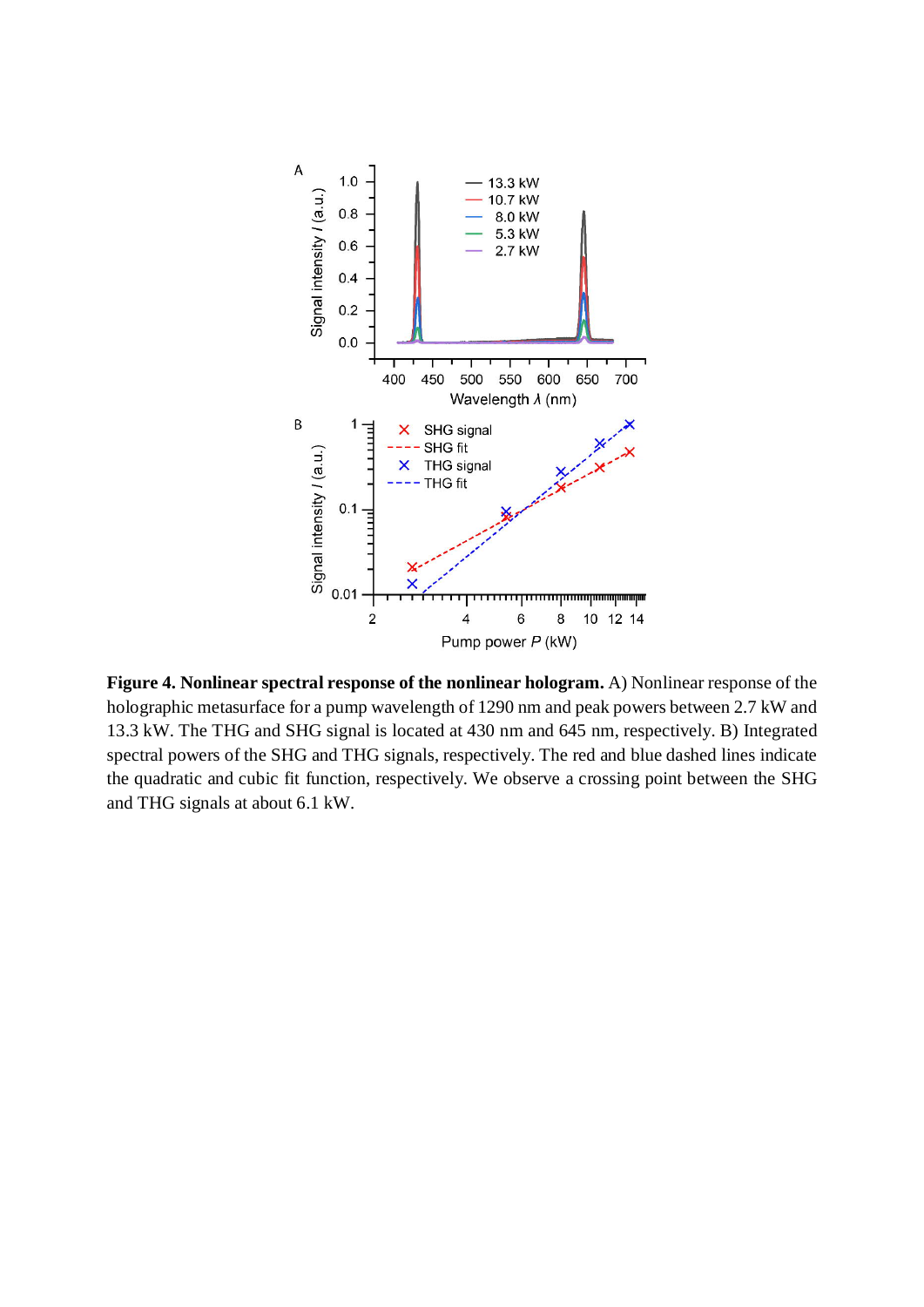

**Figure 4. Nonlinear spectral response of the nonlinear hologram.** A) Nonlinear response of the holographic metasurface for a pump wavelength of 1290 nm and peak powers between 2.7 kW and 13.3 kW. The THG and SHG signal is located at 430 nm and 645 nm, respectively. B) Integrated spectral powers of the SHG and THG signals, respectively. The red and blue dashed lines indicate the quadratic and cubic fit function, respectively. We observe a crossing point between the SHG and THG signals at about 6.1 kW.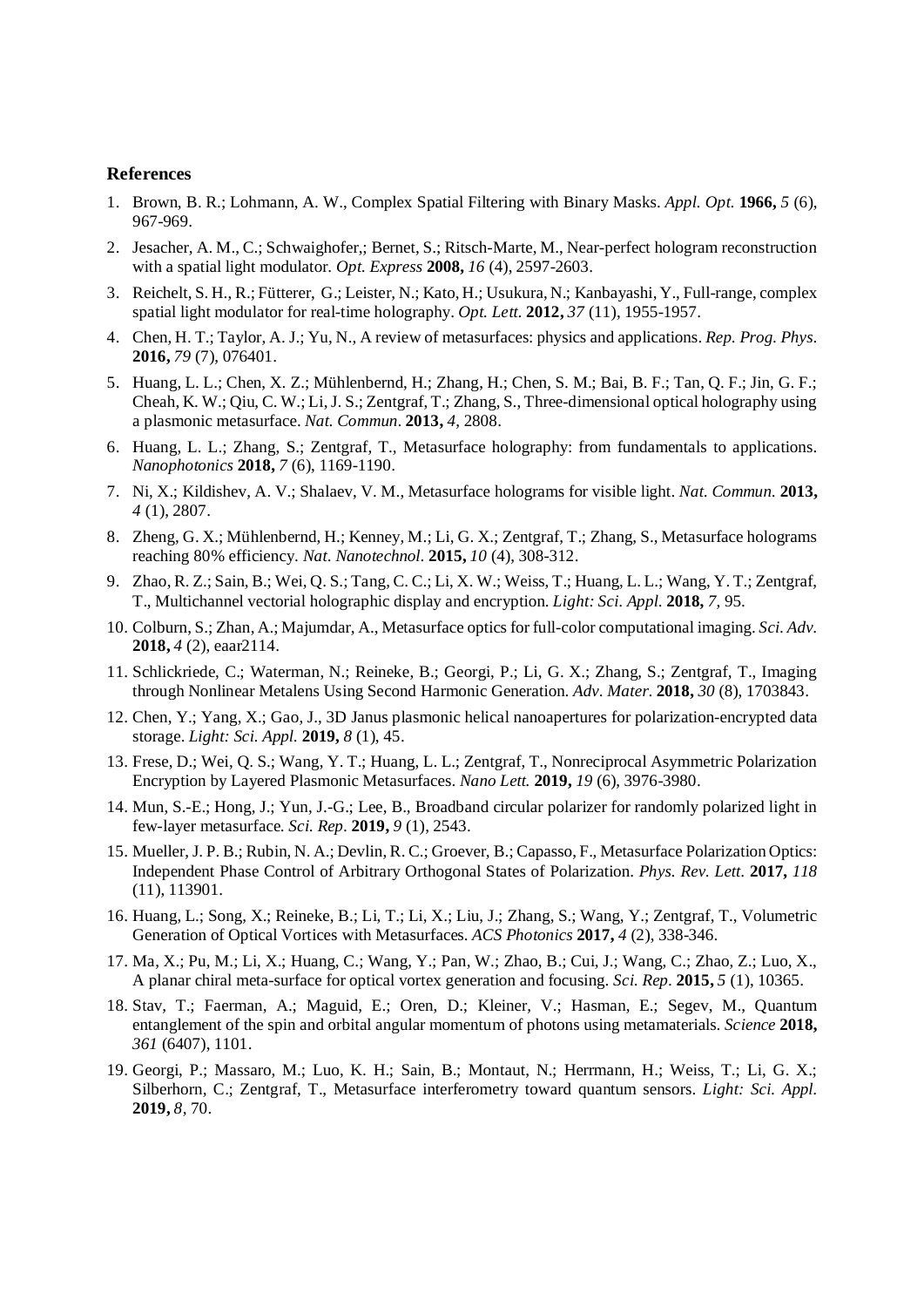#### **References**

- 1. Brown, B. R.; Lohmann, A. W., Complex Spatial Filtering with Binary Masks. *Appl. Opt.* **1966,** *5* (6), 967-969.
- 2. Jesacher, A. M., C.; Schwaighofer,; Bernet, S.; Ritsch-Marte, M., Near-perfect hologram reconstruction with a spatial light modulator. *Opt. Express* **2008,** *16* (4), 2597-2603.
- 3. Reichelt, S. H., R.; Fütterer, G.; Leister, N.; Kato, H.; Usukura, N.; Kanbayashi, Y., Full-range, complex spatial light modulator for real-time holography. *Opt. Lett.* **2012,** *37* (11), 1955-1957.
- 4. Chen, H. T.; Taylor, A. J.; Yu, N., A review of metasurfaces: physics and applications. *Rep. Prog. Phys.* **2016,** *79* (7), 076401.
- 5. Huang, L. L.; Chen, X. Z.; Mühlenbernd, H.; Zhang, H.; Chen, S. M.; Bai, B. F.; Tan, Q. F.; Jin, G. F.; Cheah, K. W.; Qiu, C. W.; Li, J. S.; Zentgraf, T.; Zhang, S., Three-dimensional optical holography using a plasmonic metasurface. *Nat. Commun.* **2013,** *4*, 2808.
- 6. Huang, L. L.; Zhang, S.; Zentgraf, T., Metasurface holography: from fundamentals to applications. *Nanophotonics* **2018,** *7* (6), 1169-1190.
- 7. Ni, X.; Kildishev, A. V.; Shalaev, V. M., Metasurface holograms for visible light. *Nat. Commun.* **2013,** *4* (1), 2807.
- 8. Zheng, G. X.; Mühlenbernd, H.; Kenney, M.; Li, G. X.; Zentgraf, T.; Zhang, S., Metasurface holograms reaching 80% efficiency. *Nat. Nanotechnol.* **2015,** *10* (4), 308-312.
- 9. Zhao, R. Z.; Sain, B.; Wei, Q. S.; Tang, C. C.; Li, X. W.; Weiss, T.; Huang, L. L.; Wang, Y. T.; Zentgraf, T., Multichannel vectorial holographic display and encryption. *Light: Sci. Appl.* **2018,** *7*, 95.
- 10. Colburn, S.; Zhan, A.; Majumdar, A., Metasurface optics for full-color computational imaging. *Sci. Adv.* **2018,** *4* (2), eaar2114.
- 11. Schlickriede, C.; Waterman, N.; Reineke, B.; Georgi, P.; Li, G. X.; Zhang, S.; Zentgraf, T., Imaging through Nonlinear Metalens Using Second Harmonic Generation. *Adv. Mater.* **2018,** *30* (8), 1703843.
- 12. Chen, Y.; Yang, X.; Gao, J., 3D Janus plasmonic helical nanoapertures for polarization-encrypted data storage. *Light: Sci. Appl.* **2019,** *8* (1), 45.
- 13. Frese, D.; Wei, Q. S.; Wang, Y. T.; Huang, L. L.; Zentgraf, T., Nonreciprocal Asymmetric Polarization Encryption by Layered Plasmonic Metasurfaces. *Nano Lett.* **2019,** *19* (6), 3976-3980.
- 14. Mun, S.-E.; Hong, J.; Yun, J.-G.; Lee, B., Broadband circular polarizer for randomly polarized light in few-layer metasurface. *Sci. Rep.* **2019,** *9* (1), 2543.
- 15. Mueller, J. P. B.; Rubin, N. A.; Devlin, R. C.; Groever, B.; Capasso, F., Metasurface Polarization Optics: Independent Phase Control of Arbitrary Orthogonal States of Polarization. *Phys. Rev. Lett.* **2017,** *118* (11), 113901.
- 16. Huang, L.; Song, X.; Reineke, B.; Li, T.; Li, X.; Liu, J.; Zhang, S.; Wang, Y.; Zentgraf, T., Volumetric Generation of Optical Vortices with Metasurfaces. *ACS Photonics* **2017,** *4* (2), 338-346.
- 17. Ma, X.; Pu, M.; Li, X.; Huang, C.; Wang, Y.; Pan, W.; Zhao, B.; Cui, J.; Wang, C.; Zhao, Z.; Luo, X., A planar chiral meta-surface for optical vortex generation and focusing. *Sci. Rep.* **2015,** *5* (1), 10365.
- 18. Stav, T.; Faerman, A.; Maguid, E.; Oren, D.; Kleiner, V.; Hasman, E.; Segev, M., Quantum entanglement of the spin and orbital angular momentum of photons using metamaterials. *Science* **2018,** *361* (6407), 1101.
- 19. Georgi, P.; Massaro, M.; Luo, K. H.; Sain, B.; Montaut, N.; Herrmann, H.; Weiss, T.; Li, G. X.; Silberhorn, C.; Zentgraf, T., Metasurface interferometry toward quantum sensors. *Light: Sci. Appl.* **2019,** *8*, 70.